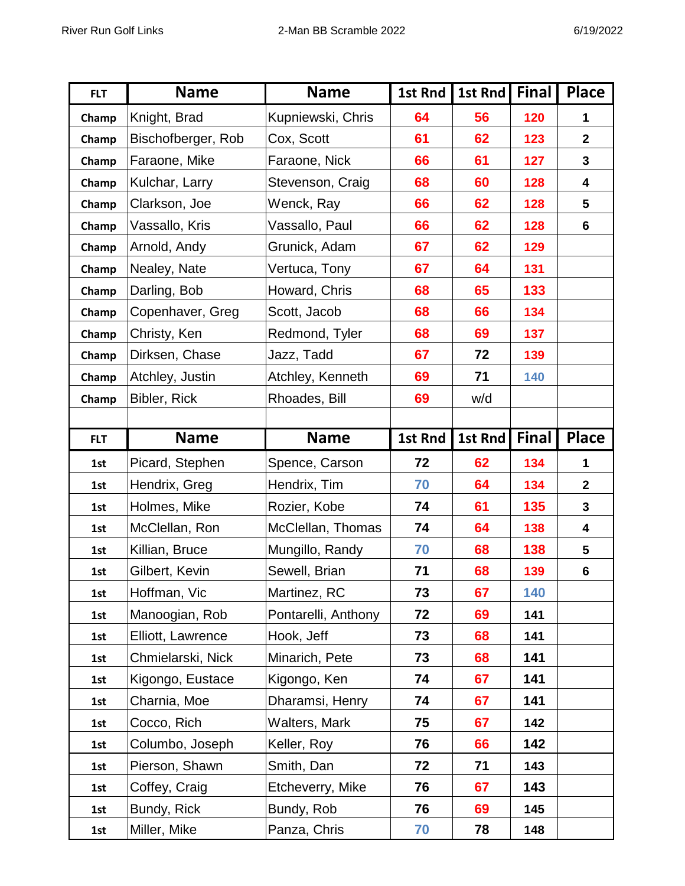| <b>FLT</b> | <b>Name</b>        | <b>Name</b>         | 1st Rnd        | 1st Rnd | <b>Final</b> | <b>Place</b>   |
|------------|--------------------|---------------------|----------------|---------|--------------|----------------|
| Champ      | Knight, Brad       | Kupniewski, Chris   | 64             | 56      | 120          | 1              |
| Champ      | Bischofberger, Rob | Cox, Scott          | 61             | 62      | 123          | $\mathbf{2}$   |
| Champ      | Faraone, Mike      | Faraone, Nick       | 66             | 61      | 127          | 3              |
| Champ      | Kulchar, Larry     | Stevenson, Craig    | 68             | 60      | 128          | 4              |
| Champ      | Clarkson, Joe      | Wenck, Ray          | 66             | 62      | 128          | 5              |
| Champ      | Vassallo, Kris     | Vassallo, Paul      | 66             | 62      | 128          | $6\phantom{1}$ |
| Champ      | Arnold, Andy       | Grunick, Adam       | 67             | 62      | 129          |                |
| Champ      | Nealey, Nate       | Vertuca, Tony       | 67             | 64      | 131          |                |
| Champ      | Darling, Bob       | Howard, Chris       | 68             | 65      | 133          |                |
| Champ      | Copenhaver, Greg   | Scott, Jacob        | 68             | 66      | 134          |                |
| Champ      | Christy, Ken       | Redmond, Tyler      | 68             | 69      | 137          |                |
| Champ      | Dirksen, Chase     | Jazz, Tadd          | 67             | 72      | 139          |                |
| Champ      | Atchley, Justin    | Atchley, Kenneth    | 69             | 71      | 140          |                |
| Champ      | Bibler, Rick       | Rhoades, Bill       | 69             | w/d     |              |                |
|            |                    |                     |                |         |              |                |
| <b>FLT</b> | <b>Name</b>        | <b>Name</b>         | <b>1st Rnd</b> | 1st Rnd | <b>Final</b> | <b>Place</b>   |
|            |                    |                     |                |         |              |                |
| 1st        | Picard, Stephen    | Spence, Carson      | 72             | 62      | 134          | 1              |
| 1st        | Hendrix, Greg      | Hendrix, Tim        | 70             | 64      | 134          | $\mathbf{2}$   |
| 1st        | Holmes, Mike       | Rozier, Kobe        | 74             | 61      | 135          | 3              |
| 1st        | McClellan, Ron     | McClellan, Thomas   | 74             | 64      | 138          | 4              |
| 1st        | Killian, Bruce     | Mungillo, Randy     | 70             | 68      | 138          | 5              |
| 1st        | Gilbert, Kevin     | Sewell, Brian       | 71             | 68      | 139          | $\bf 6$        |
| 1st        | Hoffman, Vic       | Martinez, RC        | 73             | 67      | 140          |                |
| 1st        | Manoogian, Rob     | Pontarelli, Anthony | 72             | 69      | 141          |                |
| 1st        | Elliott, Lawrence  | Hook, Jeff          | 73             | 68      | 141          |                |
| 1st        | Chmielarski, Nick  | Minarich, Pete      | 73             | 68      | 141          |                |
| 1st        | Kigongo, Eustace   | Kigongo, Ken        | 74             | 67      | 141          |                |
| 1st        | Charnia, Moe       | Dharamsi, Henry     | 74             | 67      | 141          |                |
| 1st        | Cocco, Rich        | Walters, Mark       | 75             | 67      | 142          |                |
| 1st        | Columbo, Joseph    | Keller, Roy         | 76             | 66      | 142          |                |
| 1st        | Pierson, Shawn     | Smith, Dan          | 72             | 71      | 143          |                |
| 1st        | Coffey, Craig      | Etcheverry, Mike    | 76             | 67      | 143          |                |
| 1st        | Bundy, Rick        | Bundy, Rob          | 76             | 69      | 145          |                |